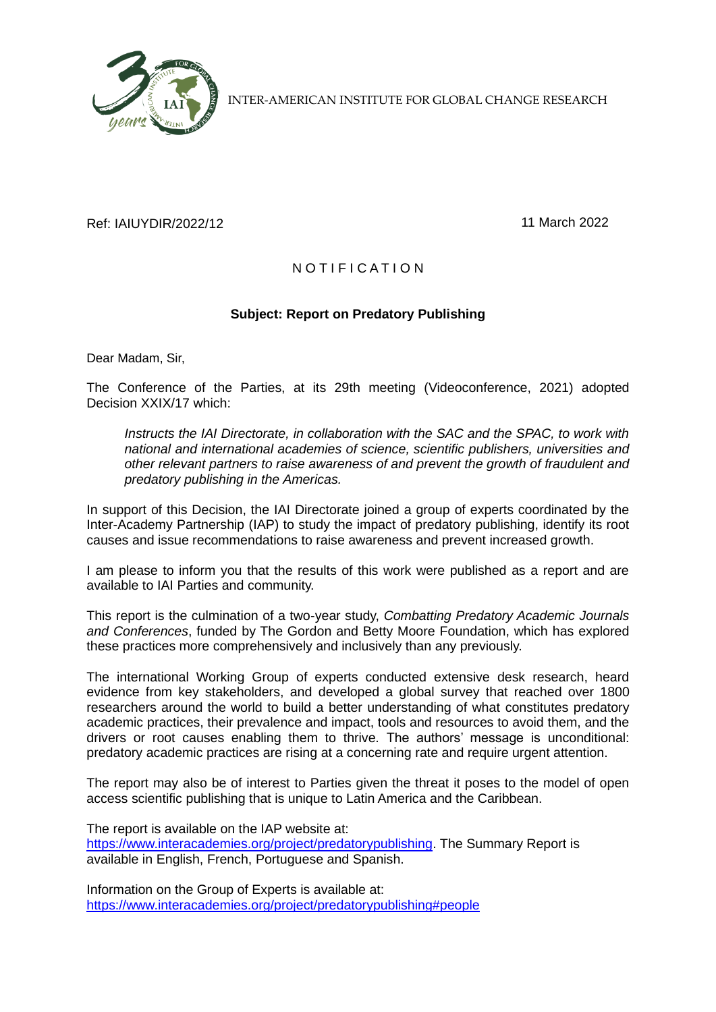

INTER-AMERICAN INSTITUTE FOR GLOBAL CHANGE RESEARCH

## Ref: IAIUYDIR/2022/12 11 March 2022

## N O T I F I C A T I O N

## **Subject: Report on Predatory Publishing**

Dear Madam, Sir,

The Conference of the Parties, at its 29th meeting (Videoconference, 2021) adopted Decision XXIX/17 which:

*Instructs the IAI Directorate, in collaboration with the SAC and the SPAC, to work with national and international academies of science, scientific publishers, universities and other relevant partners to raise awareness of and prevent the growth of fraudulent and predatory publishing in the Americas.*

In support of this Decision, the IAI Directorate joined a group of experts coordinated by the Inter-Academy Partnership (IAP) to study the impact of predatory publishing, identify its root causes and issue recommendations to raise awareness and prevent increased growth.

I am please to inform you that the results of this work were published as a report and are available to IAI Parties and community.

This report is the culmination of a two-year study, *Combatting Predatory Academic Journals and Conferences*, funded by The Gordon and Betty Moore Foundation, which has explored these practices more comprehensively and inclusively than any previously.

The international Working Group of experts conducted extensive desk research, heard evidence from key stakeholders, and developed a global survey that reached over 1800 researchers around the world to build a better understanding of what constitutes predatory academic practices, their prevalence and impact, tools and resources to avoid them, and the drivers or root causes enabling them to thrive. The authors' message is unconditional: predatory academic practices are rising at a concerning rate and require urgent attention.

The report may also be of interest to Parties given the threat it poses to the model of open access scientific publishing that is unique to Latin America and the Caribbean.

The report is available on the IAP website at: [https://www.interacademies.org/project/predatorypublishing.](https://www.interacademies.org/project/predatorypublishing) The Summary Report is available in English, French, Portuguese and Spanish.

Information on the Group of Experts is available at: <https://www.interacademies.org/project/predatorypublishing#people>